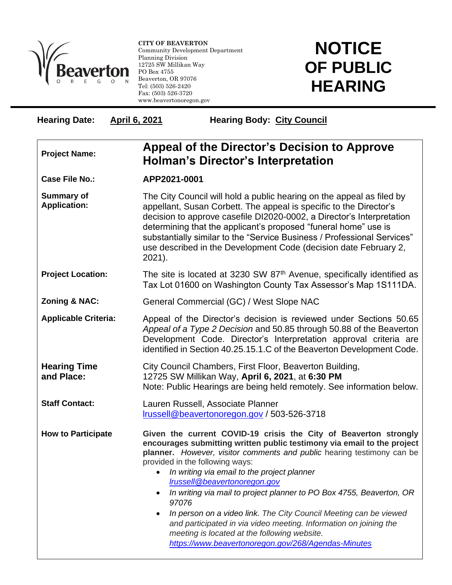

l

**CITY OF BEAVERTON** Community Development Department Planning Division 12725 SW Millikan Way PO Box 4755 Beaverton, OR 97076 Tel: (503) 526-2420 Fax: (503) 526-3720 www.beavertonoregon.gov

## **NOTICE OF PUBLIC HEARING**

| <b>Hearing Date:</b>                     | <b>April 6, 2021</b><br><b>Hearing Body: City Council</b>                                                                                                                                                                                                                                                                                                                                                                                                                                                                                                                                                                                                                 |
|------------------------------------------|---------------------------------------------------------------------------------------------------------------------------------------------------------------------------------------------------------------------------------------------------------------------------------------------------------------------------------------------------------------------------------------------------------------------------------------------------------------------------------------------------------------------------------------------------------------------------------------------------------------------------------------------------------------------------|
| <b>Project Name:</b>                     | Appeal of the Director's Decision to Approve<br><b>Holman's Director's Interpretation</b>                                                                                                                                                                                                                                                                                                                                                                                                                                                                                                                                                                                 |
| <b>Case File No.:</b>                    | APP2021-0001                                                                                                                                                                                                                                                                                                                                                                                                                                                                                                                                                                                                                                                              |
| <b>Summary of</b><br><b>Application:</b> | The City Council will hold a public hearing on the appeal as filed by<br>appellant, Susan Corbett. The appeal is specific to the Director's<br>decision to approve casefile DI2020-0002, a Director's Interpretation<br>determining that the applicant's proposed "funeral home" use is<br>substantially similar to the "Service Business / Professional Services"<br>use described in the Development Code (decision date February 2,<br>2021).                                                                                                                                                                                                                          |
| <b>Project Location:</b>                 | The site is located at 3230 SW 87th Avenue, specifically identified as<br>Tax Lot 01600 on Washington County Tax Assessor's Map 1S111DA.                                                                                                                                                                                                                                                                                                                                                                                                                                                                                                                                  |
| <b>Zoning &amp; NAC:</b>                 | General Commercial (GC) / West Slope NAC                                                                                                                                                                                                                                                                                                                                                                                                                                                                                                                                                                                                                                  |
| <b>Applicable Criteria:</b>              | Appeal of the Director's decision is reviewed under Sections 50.65<br>Appeal of a Type 2 Decision and 50.85 through 50.88 of the Beaverton<br>Development Code. Director's Interpretation approval criteria are<br>identified in Section 40.25.15.1.C of the Beaverton Development Code.                                                                                                                                                                                                                                                                                                                                                                                  |
| <b>Hearing Time</b><br>and Place:        | City Council Chambers, First Floor, Beaverton Building,<br>12725 SW Millikan Way, April 6, 2021, at 6:30 PM<br>Note: Public Hearings are being held remotely. See information below.                                                                                                                                                                                                                                                                                                                                                                                                                                                                                      |
| <b>Staff Contact:</b>                    | Lauren Russell, Associate Planner<br>Irussell@beavertonoregon.gov / 503-526-3718                                                                                                                                                                                                                                                                                                                                                                                                                                                                                                                                                                                          |
| <b>How to Participate</b>                | Given the current COVID-19 crisis the City of Beaverton strongly<br>encourages submitting written public testimony via email to the project<br>planner. However, visitor comments and public hearing testimony can be<br>provided in the following ways:<br>In writing via email to the project planner<br>Irussell@beavertonoregon.gov<br>In writing via mail to project planner to PO Box 4755, Beaverton, OR<br>97076<br>In person on a video link. The City Council Meeting can be viewed<br>and participated in via video meeting. Information on joining the<br>meeting is located at the following website.<br>https://www.beavertonoregon.gov/268/Agendas-Minutes |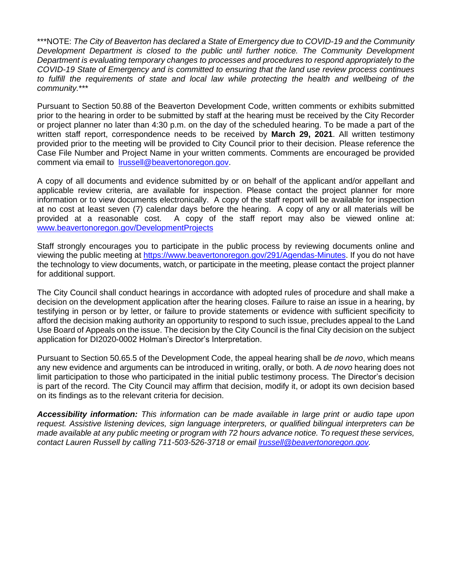\*\*\*NOTE: *The City of Beaverton has declared a State of Emergency due to COVID-19 and the Community Development Department is closed to the public until further notice. The Community Development Department is evaluating temporary changes to processes and procedures to respond appropriately to the COVID-19 State of Emergency and is committed to ensuring that the land use review process continues to fulfill the requirements of state and local law while protecting the health and wellbeing of the community.*\*\*\*

Pursuant to Section 50.88 of the Beaverton Development Code, written comments or exhibits submitted prior to the hearing in order to be submitted by staff at the hearing must be received by the City Recorder or project planner no later than 4:30 p.m. on the day of the scheduled hearing. To be made a part of the written staff report, correspondence needs to be received by **March 29, 2021**. All written testimony provided prior to the meeting will be provided to City Council prior to their decision. Please reference the Case File Number and Project Name in your written comments. Comments are encouraged be provided comment via email to *Irussell@beavertonoregon.gov*.

A copy of all documents and evidence submitted by or on behalf of the applicant and/or appellant and applicable review criteria, are available for inspection. Please contact the project planner for more information or to view documents electronically. A copy of the staff report will be available for inspection at no cost at least seven (7) calendar days before the hearing. A copy of any or all materials will be provided at a reasonable cost. A copy of the staff report may also be viewed online at: [www.beavertonoregon.gov/DevelopmentProjects](http://www.beavertonoregon.gov/DevelopmentProjects)

Staff strongly encourages you to participate in the public process by reviewing documents online and viewing the public meeting at [https://www.beavertonoregon.gov/291/Agendas-Minutes.](https://www.beavertonoregon.gov/291/Agendas-Minutes) If you do not have the technology to view documents, watch, or participate in the meeting, please contact the project planner for additional support.

The City Council shall conduct hearings in accordance with adopted rules of procedure and shall make a decision on the development application after the hearing closes. Failure to raise an issue in a hearing, by testifying in person or by letter, or failure to provide statements or evidence with sufficient specificity to afford the decision making authority an opportunity to respond to such issue, precludes appeal to the Land Use Board of Appeals on the issue. The decision by the City Council is the final City decision on the subject application for DI2020-0002 Holman's Director's Interpretation.

Pursuant to Section 50.65.5 of the Development Code, the appeal hearing shall be *de novo*, which means any new evidence and arguments can be introduced in writing, orally, or both. A *de novo* hearing does not limit participation to those who participated in the initial public testimony process. The Director's decision is part of the record. The City Council may affirm that decision, modify it, or adopt its own decision based on its findings as to the relevant criteria for decision.

*Accessibility information: This information can be made available in large print or audio tape upon request. Assistive listening devices, sign language interpreters, or qualified bilingual interpreters can be made available at any public meeting or program with 72 hours advance notice. To request these services, contact Lauren Russell by calling 711-503-526-3718 or email [lrussell@beavertonoregon.gov.](mailto:lrussell@beavertonoregon.gov)*